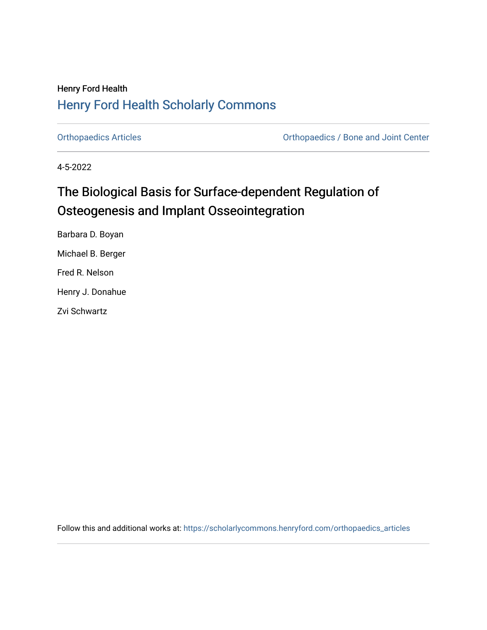## Henry Ford Health [Henry Ford Health Scholarly Commons](https://scholarlycommons.henryford.com/)

[Orthopaedics Articles](https://scholarlycommons.henryford.com/orthopaedics_articles) [Orthopaedics / Bone and Joint Center](https://scholarlycommons.henryford.com/orthopaedics) 

4-5-2022

## The Biological Basis for Surface-dependent Regulation of Osteogenesis and Implant Osseointegration

Barbara D. Boyan Michael B. Berger Fred R. Nelson Henry J. Donahue Zvi Schwartz

Follow this and additional works at: [https://scholarlycommons.henryford.com/orthopaedics\\_articles](https://scholarlycommons.henryford.com/orthopaedics_articles?utm_source=scholarlycommons.henryford.com%2Forthopaedics_articles%2F406&utm_medium=PDF&utm_campaign=PDFCoverPages)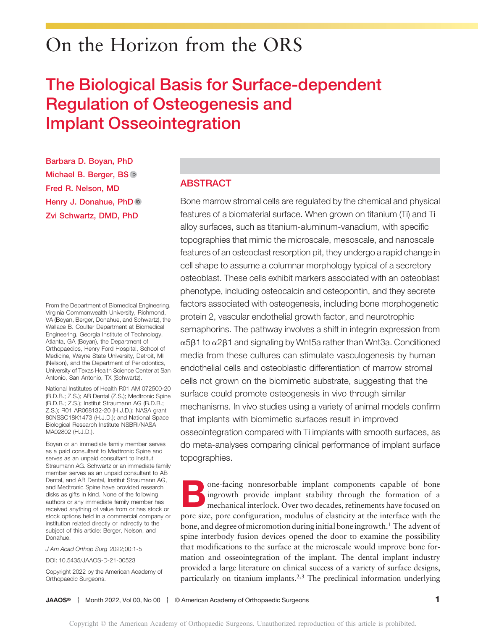# On the Horizon from the ORS

## The Biological Basis for Surface-dependent Regulation of Osteogenesis and Implant Osseointegration

Barbara D. Boyan, PhD Michael B. Berger, BS Fred R. Nelson, MD Henry J. Donahue, PhD Zvi Schwartz, DMD, PhD

From the Department of Biomedical Engineering, Virginia Commonwealth University, Richmond, VA (Boyan, Berger, Donahue, and Schwartz), the Wallace B. Coulter Department at Biomedical Engineering, Georgia Institute of Technology, Atlanta, GA (Boyan), the Department of Orthopaedics, Henry Ford Hospital, School of Medicine, Wayne State University, Detroit, MI (Nelson), and the Department of Periodontics, University of Texas Health Science Center at San Antonio, San Antonio, TX (Schwartz).

National Institutes of Health R01 AM 072500-20 (B.D.B.; Z.S.); AB Dental (Z.S.); Medtronic Spine (B.D.B.; Z.S.); Institut Straumann AG (B.D.B.; Z.S.); R01 AR068132-20 (H.J.D.); NASA grant 80NSSC18K1473 (H.J.D.); and National Space Biological Research Institute NSBRI/NASA MA02802 (H.J.D.).

Boyan or an immediate family member serves as a paid consultant to Medtronic Spine and serves as an unpaid consultant to Institut Straumann AG. Schwartz or an immediate family member serves as an unpaid consultant to AB Dental, and AB Dental, Institut Straumann AG, and Medtronic Spine have provided research disks as gifts in kind. None of the following authors or any immediate family member has received anything of value from or has stock or stock options held in a commercial company or institution related directly or indirectly to the subject of this article: Berger, Nelson, and Donahue.

J Am Acad Orthop Surg 2022;00:1-5

DOI: [10.5435/JAAOS-D-21-00523](http://dx.doi.org/10.5435/JAAOS-D-21-00523)

Copyright 2022 by the American Academy of Orthopaedic Surgeons.

## ABSTRACT

Bone marrow stromal cells are regulated by the chemical and physical features of a biomaterial surface. When grown on titanium (Ti) and Ti alloy surfaces, such as titanium-aluminum-vanadium, with specific topographies that mimic the microscale, mesoscale, and nanoscale features of an osteoclast resorption pit, they undergo a rapid change in cell shape to assume a columnar morphology typical of a secretory osteoblast. These cells exhibit markers associated with an osteoblast phenotype, including osteocalcin and osteopontin, and they secrete factors associated with osteogenesis, including bone morphogenetic protein 2, vascular endothelial growth factor, and neurotrophic semaphorins. The pathway involves a shift in integrin expression from  $\alpha$ 5 $\beta$ 1 to  $\alpha$ 2 $\beta$ 1 and signaling by Wnt5a rather than Wnt3a. Conditioned media from these cultures can stimulate vasculogenesis by human endothelial cells and osteoblastic differentiation of marrow stromal cells not grown on the biomimetic substrate, suggesting that the surface could promote osteogenesis in vivo through similar mechanisms. In vivo studies using a variety of animal models confirm that implants with biomimetic surfaces result in improved osseointegration compared with Ti implants with smooth surfaces, as do meta-analyses comparing clinical performance of implant surface topographies.

one-facing nonresorbable implant components capable of bone ingrowth provide implant stability through the formation of a mechanical interlock. Over two decades, refinements have focused on pore size, pore configuration, modulus of elasticity at the interface with the bone, and degree of micromotion during initial bone ingrowth.<sup>1</sup> The advent of spine interbody fusion devices opened the door to examine the possibility that modifications to the surface at the microscale would improve bone formation and osseointegration of the implant. The dental implant industry provided a large literature on clinical success of a variety of surface designs, particularly on titanium implants.2,3 The preclinical information underlying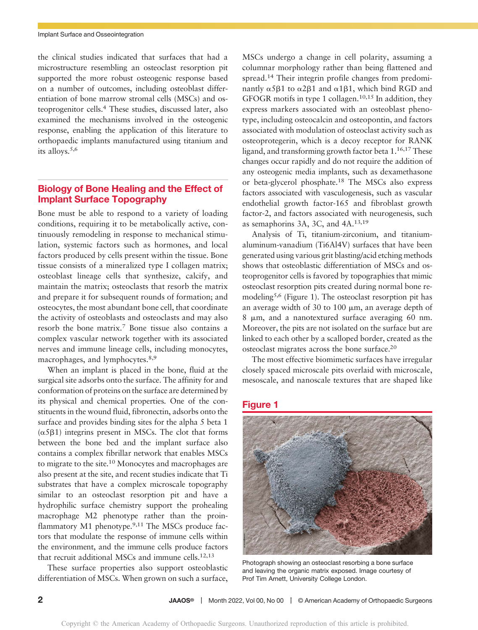the clinical studies indicated that surfaces that had a microstructure resembling an osteoclast resorption pit supported the more robust osteogenic response based on a number of outcomes, including osteoblast differentiation of bone marrow stromal cells (MSCs) and osteoprogenitor cells.4 These studies, discussed later, also examined the mechanisms involved in the osteogenic response, enabling the application of this literature to orthopaedic implants manufactured using titanium and its alloys.5,6

## Biology of Bone Healing and the Effect of Implant Surface Topography

Bone must be able to respond to a variety of loading conditions, requiring it to be metabolically active, continuously remodeling in response to mechanical stimulation, systemic factors such as hormones, and local factors produced by cells present within the tissue. Bone tissue consists of a mineralized type I collagen matrix; osteoblast lineage cells that synthesize, calcify, and maintain the matrix; osteoclasts that resorb the matrix and prepare it for subsequent rounds of formation; and osteocytes, the most abundant bone cell, that coordinate the activity of osteoblasts and osteoclasts and may also resorb the bone matrix.<sup>7</sup> Bone tissue also contains a complex vascular network together with its associated nerves and immune lineage cells, including monocytes, macrophages, and lymphocytes.<sup>8,9</sup>

When an implant is placed in the bone, fluid at the surgical site adsorbs onto the surface. The affinity for and conformation of proteins on the surface are determined by its physical and chemical properties. One of the constituents in the wound fluid, fibronectin, adsorbs onto the surface and provides binding sites for the alpha 5 beta 1  $(\alpha 5\beta 1)$  integrins present in MSCs. The clot that forms between the bone bed and the implant surface also contains a complex fibrillar network that enables MSCs to migrate to the site.<sup>10</sup> Monocytes and macrophages are also present at the site, and recent studies indicate that Ti substrates that have a complex microscale topography similar to an osteoclast resorption pit and have a hydrophilic surface chemistry support the prohealing macrophage M2 phenotype rather than the proinflammatory  $M1$  phenotype.<sup>9,11</sup> The MSCs produce factors that modulate the response of immune cells within the environment, and the immune cells produce factors that recruit additional MSCs and immune cells.12,13

These surface properties also support osteoblastic differentiation of MSCs. When grown on such a surface,

MSCs undergo a change in cell polarity, assuming a columnar morphology rather than being flattened and spread.<sup>14</sup> Their integrin profile changes from predominantly  $\alpha$ 5 $\beta$ 1 to  $\alpha$ 2 $\beta$ 1 and  $\alpha$ 1 $\beta$ 1, which bind RGD and GFOGR motifs in type 1 collagen.10,15 In addition, they express markers associated with an osteoblast phenotype, including osteocalcin and osteopontin, and factors associated with modulation of osteoclast activity such as osteoprotegerin, which is a decoy receptor for RANK ligand, and transforming growth factor beta 1.16,17 These changes occur rapidly and do not require the addition of any osteogenic media implants, such as dexamethasone or beta-glycerol phosphate.18 The MSCs also express factors associated with vasculogenesis, such as vascular endothelial growth factor-165 and fibroblast growth factor-2, and factors associated with neurogenesis, such as semaphorins 3A, 3C, and 4A.13,19

Analysis of Ti, titanium-zirconium, and titaniumaluminum-vanadium (Ti6Al4V) surfaces that have been generated using various grit blasting/acid etching methods shows that osteoblastic differentiation of MSCs and osteoprogenitor cells is favored by topographies that mimic osteoclast resorption pits created during normal bone remodeling<sup>5,6</sup> (Figure 1). The osteoclast resorption pit has an average width of 30 to 100  $\mu$ m, an average depth of 8  $\mu$ m, and a nanotextured surface averaging 60 nm. Moreover, the pits are not isolated on the surface but are linked to each other by a scalloped border, created as the osteoclast migrates across the bone surface.20

The most effective biomimetic surfaces have irregular closely spaced microscale pits overlaid with microscale, mesoscale, and nanoscale textures that are shaped like

### Figure 1



Photograph showing an osteoclast resorbing a bone surface and leaving the organic matrix exposed. Image courtesy of Prof Tim Arnett, University College London.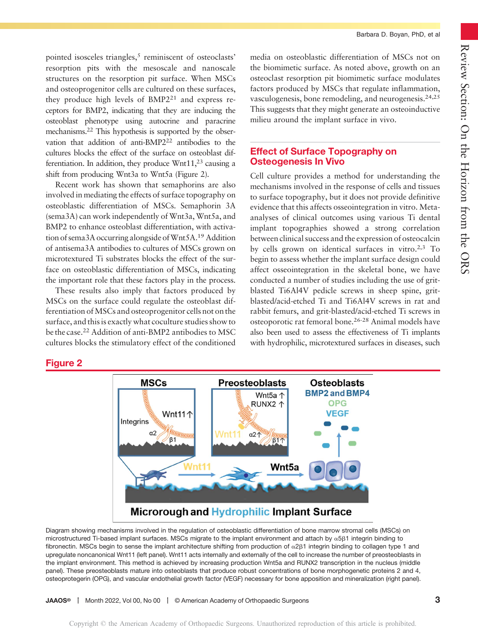pointed isosceles triangles,<sup>5</sup> reminiscent of osteoclasts' resorption pits with the mesoscale and nanoscale structures on the resorption pit surface. When MSCs and osteoprogenitor cells are cultured on these surfaces, they produce high levels of BMP221 and express receptors for BMP2, indicating that they are inducing the osteoblast phenotype using autocrine and paracrine mechanisms.22 This hypothesis is supported by the observation that addition of anti-BMP2<sup>22</sup> antibodies to the cultures blocks the effect of the surface on osteoblast differentiation. In addition, they produce  $Wnt11<sub>1</sub><sup>23</sup>$  causing a shift from producing Wnt3a to Wnt5a (Figure 2).

Recent work has shown that semaphorins are also involved in mediating the effects of surface topography on osteoblastic differentiation of MSCs. Semaphorin 3A (sema3A) can work independently of Wnt3a, Wnt5a, and BMP2 to enhance osteoblast differentiation, with activation of sema3A occurring alongside of Wnt5A.<sup>19</sup> Addition of antisema3A antibodies to cultures of MSCs grown on microtextured Ti substrates blocks the effect of the surface on osteoblastic differentiation of MSCs, indicating the important role that these factors play in the process.

These results also imply that factors produced by MSCs on the surface could regulate the osteoblast differentiation of MSCs and osteoprogenitor cells not on the surface, and this is exactly what coculture studies show to be the case.<sup>22</sup> Addition of anti-BMP2 antibodies to MSC cultures blocks the stimulatory effect of the conditioned media on osteoblastic differentiation of MSCs not on the biomimetic surface. As noted above, growth on an osteoclast resorption pit biomimetic surface modulates factors produced by MSCs that regulate inflammation, vasculogenesis, bone remodeling, and neurogenesis.<sup>24,25</sup> This suggests that they might generate an osteoinductive milieu around the implant surface in vivo.

Barbara D. Boyan, PhD, et al

## Effect of Surface Topography on Osteogenesis In Vivo

Cell culture provides a method for understanding the mechanisms involved in the response of cells and tissues to surface topography, but it does not provide definitive evidence that this affects osseointegration in vitro. Metaanalyses of clinical outcomes using various Ti dental implant topographies showed a strong correlation between clinical success and the expression of osteocalcin by cells grown on identical surfaces in vitro.<sup>2,3</sup> To begin to assess whether the implant surface design could affect osseointegration in the skeletal bone, we have conducted a number of studies including the use of gritblasted Ti6Al4V pedicle screws in sheep spine, gritblasted/acid-etched Ti and Ti6Al4V screws in rat and rabbit femurs, and grit-blasted/acid-etched Ti screws in osteoporotic rat femoral bone.26-28 Animal models have also been used to assess the effectiveness of Ti implants with hydrophilic, microtextured surfaces in diseases, such

## Figure 2



Diagram showing mechanisms involved in the regulation of osteoblastic differentiation of bone marrow stromal cells (MSCs) on microstructured Ti-based implant surfaces. MSCs migrate to the implant environment and attach by  $\alpha$ 5 $\beta$ 1 integrin binding to fibronectin. MSCs begin to sense the implant architecture shifting from production of  $\alpha$ 2 $\beta$ 1 integrin binding to collagen type 1 and upregulate noncanonical Wnt11 (left panel). Wnt11 acts internally and externally of the cell to increase the number of preosteoblasts in the implant environment. This method is achieved by increasing production Wnt5a and RUNX2 transcription in the nucleus (middle panel). These preosteoblasts mature into osteoblasts that produce robust concentrations of bone morphogenetic proteins 2 and 4, osteoprotegerin (OPG), and vascular endothelial growth factor (VEGF) necessary for bone apposition and mineralization (right panel).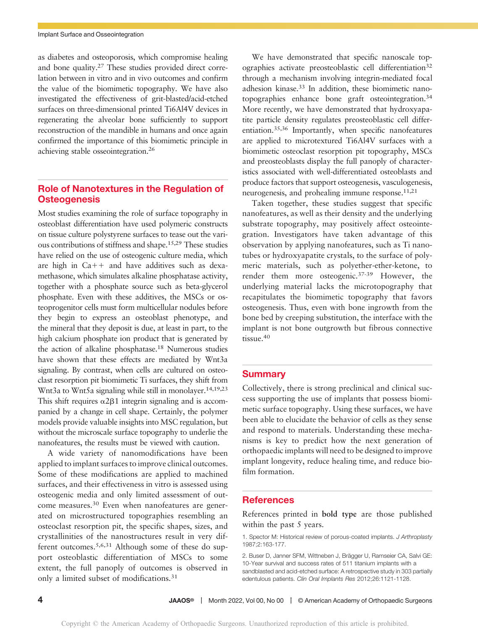as diabetes and osteoporosis, which compromise healing and bone quality.<sup>27</sup> These studies provided direct correlation between in vitro and in vivo outcomes and confirm the value of the biomimetic topography. We have also investigated the effectiveness of grit-blasted/acid-etched surfaces on three-dimensional printed Ti6Al4V devices in regenerating the alveolar bone sufficiently to support reconstruction of the mandible in humans and once again confirmed the importance of this biomimetic principle in achieving stable osseointegration.26

## Role of Nanotextures in the Regulation of **Osteogenesis**

Most studies examining the role of surface topography in osteoblast differentiation have used polymeric constructs on tissue culture polystyrene surfaces to tease out the various contributions of stiffness and shape.15,29 These studies have relied on the use of osteogenic culture media, which are high in  $Ca++$  and have additives such as dexamethasone, which simulates alkaline phosphatase activity, together with a phosphate source such as beta-glycerol phosphate. Even with these additives, the MSCs or osteoprogenitor cells must form multicellular nodules before they begin to express an osteoblast phenotype, and the mineral that they deposit is due, at least in part, to the high calcium phosphate ion product that is generated by the action of alkaline phosphatase.<sup>18</sup> Numerous studies have shown that these effects are mediated by Wnt3a signaling. By contrast, when cells are cultured on osteoclast resorption pit biomimetic Ti surfaces, they shift from Wnt3a to Wnt5a signaling while still in monolayer.<sup>14,19,23</sup> This shift requires  $\alpha$ 2 $\beta$ 1 integrin signaling and is accompanied by a change in cell shape. Certainly, the polymer models provide valuable insights into MSC regulation, but without the microscale surface topography to underlie the nanofeatures, the results must be viewed with caution.

A wide variety of nanomodifications have been applied to implant surfaces to improve clinical outcomes. Some of these modifications are applied to machined surfaces, and their effectiveness in vitro is assessed using osteogenic media and only limited assessment of outcome measures.<sup>30</sup> Even when nanofeatures are generated on microstructured topographies resembling an osteoclast resorption pit, the specific shapes, sizes, and crystallinities of the nanostructures result in very different outcomes.5,6,31 Although some of these do support osteoblastic differentiation of MSCs to some extent, the full panoply of outcomes is observed in only a limited subset of modifications.<sup>31</sup>

We have demonstrated that specific nanoscale topographies activate preosteoblastic cell differentiation<sup>32</sup> through a mechanism involving integrin-mediated focal adhesion kinase.33 In addition, these biomimetic nanotopographies enhance bone graft osteointegration.34 More recently, we have demonstrated that hydroxyapatite particle density regulates preosteoblastic cell differentiation.35,36 Importantly, when specific nanofeatures are applied to microtextured Ti6Al4V surfaces with a biomimetic osteoclast resorption pit topography, MSCs and preosteoblasts display the full panoply of characteristics associated with well-differentiated osteoblasts and produce factors that support osteogenesis, vasculogenesis, neurogenesis, and prohealing immune response.<sup>11,21</sup>

Taken together, these studies suggest that specific nanofeatures, as well as their density and the underlying substrate topography, may positively affect osteointegration. Investigators have taken advantage of this observation by applying nanofeatures, such as Ti nanotubes or hydroxyapatite crystals, to the surface of polymeric materials, such as polyether-ether-ketone, to render them more osteogenic.37-39 However, the underlying material lacks the microtopography that recapitulates the biomimetic topography that favors osteogenesis. Thus, even with bone ingrowth from the bone bed by creeping substitution, the interface with the implant is not bone outgrowth but fibrous connective tissue.<sup>40</sup>

## **Summary**

Collectively, there is strong preclinical and clinical success supporting the use of implants that possess biomimetic surface topography. Using these surfaces, we have been able to elucidate the behavior of cells as they sense and respond to materials. Understanding these mechanisms is key to predict how the next generation of orthopaedic implants will need to be designed to improve implant longevity, reduce healing time, and reduce biofilm formation.

## References

References printed in bold type are those published within the past 5 years.

1. Spector M: Historical review of porous-coated implants. J Arthroplasty 1987;2:163-177.

2. Buser D, Janner SFM, Wittneben J, Brägger U, Ramseier CA, Salvi GE: 10-Year survival and success rates of 511 titanium implants with a sandblasted and acid-etched surface: A retrospective study in 303 partially edentulous patients. Clin Oral Implants Res 2012;26:1121-1128.